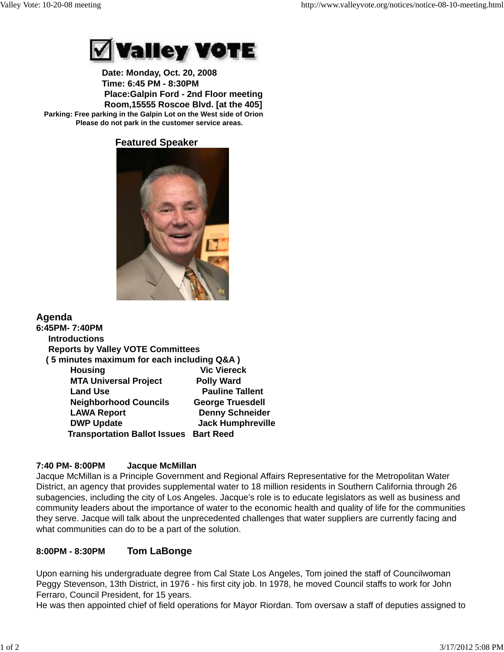

 **Date: Monday, Oct. 20, 2008 Time: 6:45 PM - 8:30PM Place:Galpin Ford - 2nd Floor meeting Room,15555 Roscoe Blvd. [at the 405] Parking: Free parking in the Galpin Lot on the West side of Orion Please do not park in the customer service areas.**

 **Featured Speaker** 



# **Agenda**

| 6:45PM- 7:40PM                                |                          |
|-----------------------------------------------|--------------------------|
| <b>Introductions</b>                          |                          |
| <b>Reports by Valley VOTE Committees</b>      |                          |
| (5 minutes maximum for each including Q&A)    |                          |
| <b>Housing</b>                                | <b>Vic Viereck</b>       |
| <b>MTA Universal Project</b>                  | <b>Polly Ward</b>        |
| <b>Land Use</b>                               | <b>Pauline Tallent</b>   |
| <b>Neighborhood Councils</b>                  | <b>George Truesdell</b>  |
| <b>LAWA Report</b>                            | <b>Denny Schneider</b>   |
| <b>DWP Update</b>                             | <b>Jack Humphreville</b> |
| <b>Transportation Ballot Issues Bart Reed</b> |                          |

#### **7:40 PM- 8:00PM Jacque McMillan**

Jacque McMillan is a Principle Government and Regional Affairs Representative for the Metropolitan Water District, an agency that provides supplemental water to 18 million residents in Southern California through 26 subagencies, including the city of Los Angeles. Jacque's role is to educate legislators as well as business and community leaders about the importance of water to the economic health and quality of life for the communities they serve. Jacque will talk about the unprecedented challenges that water suppliers are currently facing and what communities can do to be a part of the solution.

# **8:00PM - 8:30PM Tom LaBonge**

Upon earning his undergraduate degree from Cal State Los Angeles, Tom joined the staff of Councilwoman Peggy Stevenson, 13th District, in 1976 - his first city job. In 1978, he moved Council staffs to work for John Ferraro, Council President, for 15 years.

He was then appointed chief of field operations for Mayor Riordan. Tom oversaw a staff of deputies assigned to